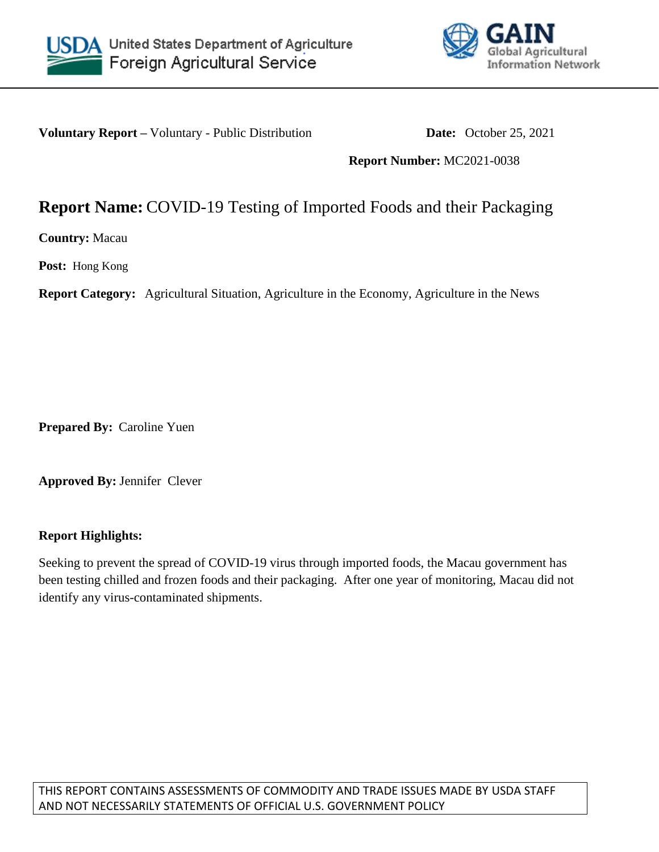



**Voluntary Report** – Voluntary - Public Distribution **Date:** October 25, 2021

**Report Number:** MC2021-0038

## **Report Name:** COVID-19 Testing of Imported Foods and their Packaging

**Country:** Macau

**Post:** Hong Kong

**Report Category:** Agricultural Situation, Agriculture in the Economy, Agriculture in the News

**Prepared By:** Caroline Yuen

**Approved By:** Jennifer Clever

## **Report Highlights:**

Seeking to prevent the spread of COVID-19 virus through imported foods, the Macau government has been testing chilled and frozen foods and their packaging. After one year of monitoring, Macau did not identify any virus-contaminated shipments.

THIS REPORT CONTAINS ASSESSMENTS OF COMMODITY AND TRADE ISSUES MADE BY USDA STAFF AND NOT NECESSARILY STATEMENTS OF OFFICIAL U.S. GOVERNMENT POLICY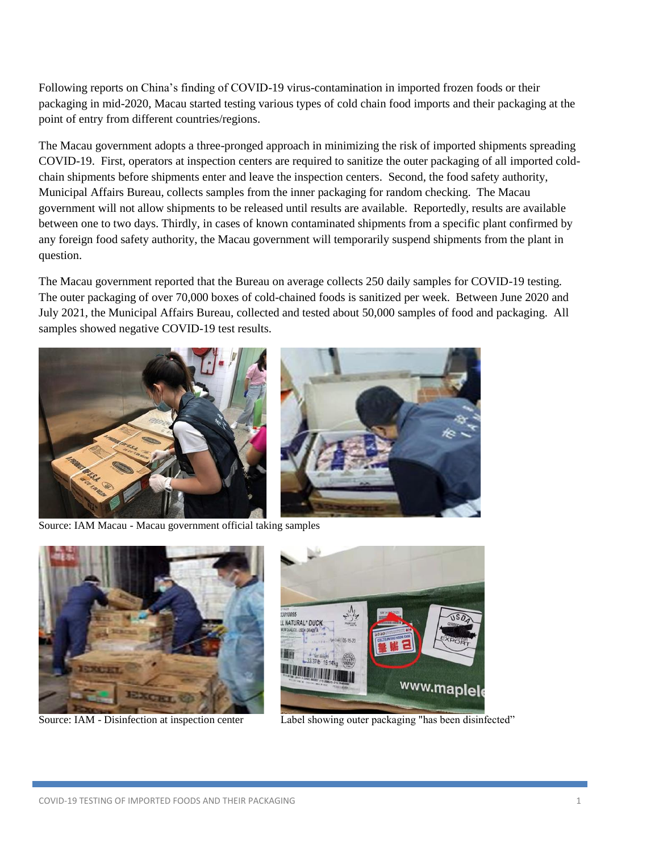Following reports on China's finding of COVID-19 virus-contamination in imported frozen foods or their packaging in mid-2020, Macau started testing various types of cold chain food imports and their packaging at the point of entry from different countries/regions.

The Macau government adopts a three-pronged approach in minimizing the risk of imported shipments spreading COVID-19. First, operators at inspection centers are required to sanitize the outer packaging of all imported coldchain shipments before shipments enter and leave the inspection centers. Second, the food safety authority, Municipal Affairs Bureau, collects samples from the inner packaging for random checking. The Macau government will not allow shipments to be released until results are available. Reportedly, results are available between one to two days. Thirdly, in cases of known contaminated shipments from a specific plant confirmed by any foreign food safety authority, the Macau government will temporarily suspend shipments from the plant in question.

The Macau government reported that the Bureau on average collects 250 daily samples for COVID-19 testing. The outer packaging of over 70,000 boxes of cold-chained foods is sanitized per week. Between June 2020 and July 2021, the Municipal Affairs Bureau, collected and tested about 50,000 samples of food and packaging. All samples showed negative COVID-19 test results.



Source: IAM Macau - Macau government official taking samples





Source: IAM - Disinfection at inspection center Label showing outer packaging "has been disinfected"